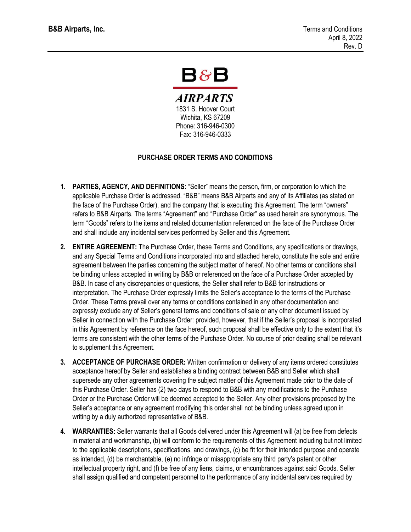## $\mathsf B8\mathsf B$

**AIRPARTS** 1831 S. Hoover Court Wichita, KS 67209 Phone: 316-946-0300 Fax: 316-946-0333

## **PURCHASE ORDER TERMS AND CONDITIONS**

- **1. PARTIES, AGENCY, AND DEFINITIONS:** "Seller" means the person, firm, or corporation to which the applicable Purchase Order is addressed. "B&B" means B&B Airparts and any of its Affiliates (as stated on the face of the Purchase Order), and the company that is executing this Agreement. The term "owners" refers to B&B Airparts. The terms "Agreement" and "Purchase Order" as used herein are synonymous. The term "Goods" refers to the items and related documentation referenced on the face of the Purchase Order and shall include any incidental services performed by Seller and this Agreement.
- **2. ENTIRE AGREEMENT:** The Purchase Order, these Terms and Conditions, any specifications or drawings, and any Special Terms and Conditions incorporated into and attached hereto, constitute the sole and entire agreement between the parties concerning the subject matter of hereof. No other terms or conditions shall be binding unless accepted in writing by B&B or referenced on the face of a Purchase Order accepted by B&B. In case of any discrepancies or questions, the Seller shall refer to B&B for instructions or interpretation. The Purchase Order expressly limits the Seller's acceptance to the terms of the Purchase Order. These Terms prevail over any terms or conditions contained in any other documentation and expressly exclude any of Seller's general terms and conditions of sale or any other document issued by Seller in connection with the Purchase Order: provided, however, that if the Seller's proposal is incorporated in this Agreement by reference on the face hereof, such proposal shall be effective only to the extent that it's terms are consistent with the other terms of the Purchase Order. No course of prior dealing shall be relevant to supplement this Agreement.
- **3. ACCEPTANCE OF PURCHASE ORDER:** Written confirmation or delivery of any items ordered constitutes acceptance hereof by Seller and establishes a binding contract between B&B and Seller which shall supersede any other agreements covering the subject matter of this Agreement made prior to the date of this Purchase Order. Seller has (2) two days to respond to B&B with any modifications to the Purchase Order or the Purchase Order will be deemed accepted to the Seller. Any other provisions proposed by the Seller's acceptance or any agreement modifying this order shall not be binding unless agreed upon in writing by a duly authorized representative of B&B.
- **4. WARRANTIES:** Seller warrants that all Goods delivered under this Agreement will (a) be free from defects in material and workmanship, (b) will conform to the requirements of this Agreement including but not limited to the applicable descriptions, specifications, and drawings, (c) be fit for their intended purpose and operate as intended, (d) be merchantable, (e) no infringe or misappropriate any third party's patent or other intellectual property right, and (f) be free of any liens, claims, or encumbrances against said Goods. Seller shall assign qualified and competent personnel to the performance of any incidental services required by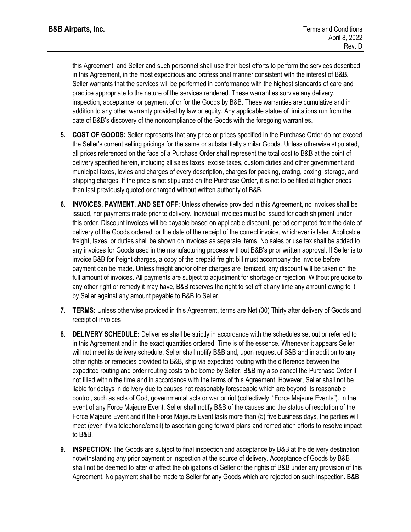this Agreement, and Seller and such personnel shall use their best efforts to perform the services described in this Agreement, in the most expeditious and professional manner consistent with the interest of B&B. Seller warrants that the services will be performed in conformance with the highest standards of care and practice appropriate to the nature of the services rendered. These warranties survive any delivery, inspection, acceptance, or payment of or for the Goods by B&B. These warranties are cumulative and in addition to any other warranty provided by law or equity. Any applicable statue of limitations run from the date of B&B's discovery of the noncompliance of the Goods with the foregoing warranties.

- **5. COST OF GOODS:** Seller represents that any price or prices specified in the Purchase Order do not exceed the Seller's current selling pricings for the same or substantially similar Goods. Unless otherwise stipulated, all prices referenced on the face of a Purchase Order shall represent the total cost to B&B at the point of delivery specified herein, including all sales taxes, excise taxes, custom duties and other government and municipal taxes, levies and charges of every description, charges for packing, crating, boxing, storage, and shipping charges. If the price is not stipulated on the Purchase Order, it is not to be filled at higher prices than last previously quoted or charged without written authority of B&B.
- **6. INVOICES, PAYMENT, AND SET OFF:** Unless otherwise provided in this Agreement, no invoices shall be issued, nor payments made prior to delivery. Individual invoices must be issued for each shipment under this order. Discount invoices will be payable based on applicable discount, period computed from the date of delivery of the Goods ordered, or the date of the receipt of the correct invoice, whichever is later. Applicable freight, taxes, or duties shall be shown on invoices as separate items. No sales or use tax shall be added to any invoices for Goods used in the manufacturing process without B&B's prior written approval. If Seller is to invoice B&B for freight charges, a copy of the prepaid freight bill must accompany the invoice before payment can be made. Unless freight and/or other charges are itemized, any discount will be taken on the full amount of invoices. All payments are subject to adjustment for shortage or rejection. Without prejudice to any other right or remedy it may have, B&B reserves the right to set off at any time any amount owing to it by Seller against any amount payable to B&B to Seller.
- **7. TERMS:** Unless otherwise provided in this Agreement, terms are Net (30) Thirty after delivery of Goods and receipt of invoices.
- **8. DELIVERY SCHEDULE:** Deliveries shall be strictly in accordance with the schedules set out or referred to in this Agreement and in the exact quantities ordered. Time is of the essence. Whenever it appears Seller will not meet its delivery schedule, Seller shall notify B&B and, upon request of B&B and in addition to any other rights or remedies provided to B&B, ship via expedited routing with the difference between the expedited routing and order routing costs to be borne by Seller. B&B my also cancel the Purchase Order if not filled within the time and in accordance with the terms of this Agreement. However, Seller shall not be liable for delays in delivery due to causes not reasonably foreseeable which are beyond its reasonable control, such as acts of God, governmental acts or war or riot (collectively, "Force Majeure Events"). In the event of any Force Majeure Event, Seller shall notify B&B of the causes and the status of resolution of the Force Majeure Event and if the Force Majeure Event lasts more than (5) five business days, the parties will meet (even if via telephone/email) to ascertain going forward plans and remediation efforts to resolve impact to B&B.
- **9. INSPECTION:** The Goods are subject to final inspection and acceptance by B&B at the delivery destination notwithstanding any prior payment or inspection at the source of delivery. Acceptance of Goods by B&B shall not be deemed to alter or affect the obligations of Seller or the rights of B&B under any provision of this Agreement. No payment shall be made to Seller for any Goods which are rejected on such inspection. B&B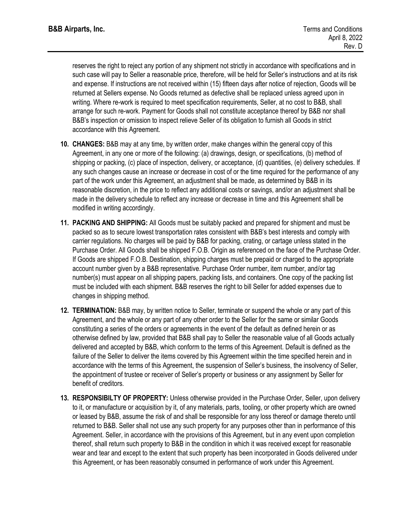reserves the right to reject any portion of any shipment not strictly in accordance with specifications and in such case will pay to Seller a reasonable price, therefore, will be held for Seller's instructions and at its risk and expense. If instructions are not received within (15) fifteen days after notice of rejection, Goods will be returned at Sellers expense. No Goods returned as defective shall be replaced unless agreed upon in writing. Where re-work is required to meet specification requirements, Seller, at no cost to B&B, shall arrange for such re-work. Payment for Goods shall not constitute acceptance thereof by B&B nor shall B&B's inspection or omission to inspect relieve Seller of its obligation to furnish all Goods in strict accordance with this Agreement.

- **10. CHANGES:** B&B may at any time, by written order, make changes within the general copy of this Agreement, in any one or more of the following: (a) drawings, design, or specifications, (b) method of shipping or packing, (c) place of inspection, delivery, or acceptance, (d) quantities, (e) delivery schedules. If any such changes cause an increase or decrease in cost of or the time required for the performance of any part of the work under this Agreement, an adjustment shall be made, as determined by B&B in its reasonable discretion, in the price to reflect any additional costs or savings, and/or an adjustment shall be made in the delivery schedule to reflect any increase or decrease in time and this Agreement shall be modified in writing accordingly.
- **11. PACKING AND SHIPPING:** All Goods must be suitably packed and prepared for shipment and must be packed so as to secure lowest transportation rates consistent with B&B's best interests and comply with carrier regulations. No charges will be paid by B&B for packing, crating, or cartage unless stated in the Purchase Order. All Goods shall be shipped F.O.B. Origin as referenced on the face of the Purchase Order. If Goods are shipped F.O.B. Destination, shipping charges must be prepaid or charged to the appropriate account number given by a B&B representative. Purchase Order number, item number, and/or tag number(s) must appear on all shipping papers, packing lists, and containers. One copy of the packing list must be included with each shipment. B&B reserves the right to bill Seller for added expenses due to changes in shipping method.
- **12. TERMINATION:** B&B may, by written notice to Seller, terminate or suspend the whole or any part of this Agreement, and the whole or any part of any other order to the Seller for the same or similar Goods constituting a series of the orders or agreements in the event of the default as defined herein or as otherwise defined by law, provided that B&B shall pay to Seller the reasonable value of all Goods actually delivered and accepted by B&B, which conform to the terms of this Agreement. Default is defined as the failure of the Seller to deliver the items covered by this Agreement within the time specified herein and in accordance with the terms of this Agreement, the suspension of Seller's business, the insolvency of Seller, the appointment of trustee or receiver of Seller's property or business or any assignment by Seller for benefit of creditors.
- **13. RESPONSIBILTY OF PROPERTY:** Unless otherwise provided in the Purchase Order, Seller, upon delivery to it, or manufacture or acquisition by it, of any materials, parts, tooling, or other property which are owned or leased by B&B, assume the risk of and shall be responsible for any loss thereof or damage thereto until returned to B&B. Seller shall not use any such property for any purposes other than in performance of this Agreement. Seller, in accordance with the provisions of this Agreement, but in any event upon completion thereof, shall return such property to B&B in the condition in which it was received except for reasonable wear and tear and except to the extent that such property has been incorporated in Goods delivered under this Agreement, or has been reasonably consumed in performance of work under this Agreement.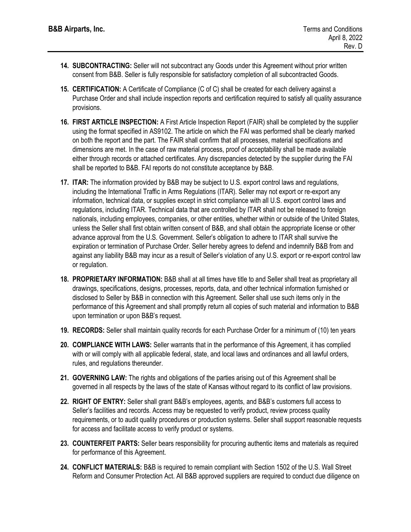- **14. SUBCONTRACTING:** Seller will not subcontract any Goods under this Agreement without prior written consent from B&B. Seller is fully responsible for satisfactory completion of all subcontracted Goods.
- **15. CERTIFICATION:** A Certificate of Compliance (C of C) shall be created for each delivery against a Purchase Order and shall include inspection reports and certification required to satisfy all quality assurance provisions.
- **16. FIRST ARTICLE INSPECTION:** A First Article Inspection Report (FAIR) shall be completed by the supplier using the format specified in AS9102. The article on which the FAI was performed shall be clearly marked on both the report and the part. The FAIR shall confirm that all processes, material specifications and dimensions are met. In the case of raw material process, proof of acceptability shall be made available either through records or attached certificates. Any discrepancies detected by the supplier during the FAI shall be reported to B&B. FAI reports do not constitute acceptance by B&B.
- **17. ITAR:** The information provided by B&B may be subject to U.S. export control laws and regulations, including the International Traffic in Arms Regulations (ITAR). Seller may not export or re-export any information, technical data, or supplies except in strict compliance with all U.S. export control laws and regulations, including ITAR. Technical data that are controlled by ITAR shall not be released to foreign nationals, including employees, companies, or other entities, whether within or outside of the United States, unless the Seller shall first obtain written consent of B&B, and shall obtain the appropriate license or other advance approval from the U.S. Government. Seller's obligation to adhere to ITAR shall survive the expiration or termination of Purchase Order. Seller hereby agrees to defend and indemnify B&B from and against any liability B&B may incur as a result of Seller's violation of any U.S. export or re-export control law or regulation.
- **18. PROPRIETARY INFORMATION:** B&B shall at all times have title to and Seller shall treat as proprietary all drawings, specifications, designs, processes, reports, data, and other technical information furnished or disclosed to Seller by B&B in connection with this Agreement. Seller shall use such items only in the performance of this Agreement and shall promptly return all copies of such material and information to B&B upon termination or upon B&B's request.
- **19. RECORDS:** Seller shall maintain quality records for each Purchase Order for a minimum of (10) ten years
- **20. COMPLIANCE WITH LAWS:** Seller warrants that in the performance of this Agreement, it has complied with or will comply with all applicable federal, state, and local laws and ordinances and all lawful orders, rules, and regulations thereunder.
- **21. GOVERNING LAW:** The rights and obligations of the parties arising out of this Agreement shall be governed in all respects by the laws of the state of Kansas without regard to its conflict of law provisions.
- **22. RIGHT OF ENTRY:** Seller shall grant B&B's employees, agents, and B&B's customers full access to Seller's facilities and records. Access may be requested to verify product, review process quality requirements, or to audit quality procedures or production systems. Seller shall support reasonable requests for access and facilitate access to verify product or systems.
- **23. COUNTERFEIT PARTS:** Seller bears responsibility for procuring authentic items and materials as required for performance of this Agreement.
- **24. CONFLICT MATERIALS:** B&B is required to remain compliant with Section 1502 of the U.S. Wall Street Reform and Consumer Protection Act. All B&B approved suppliers are required to conduct due diligence on